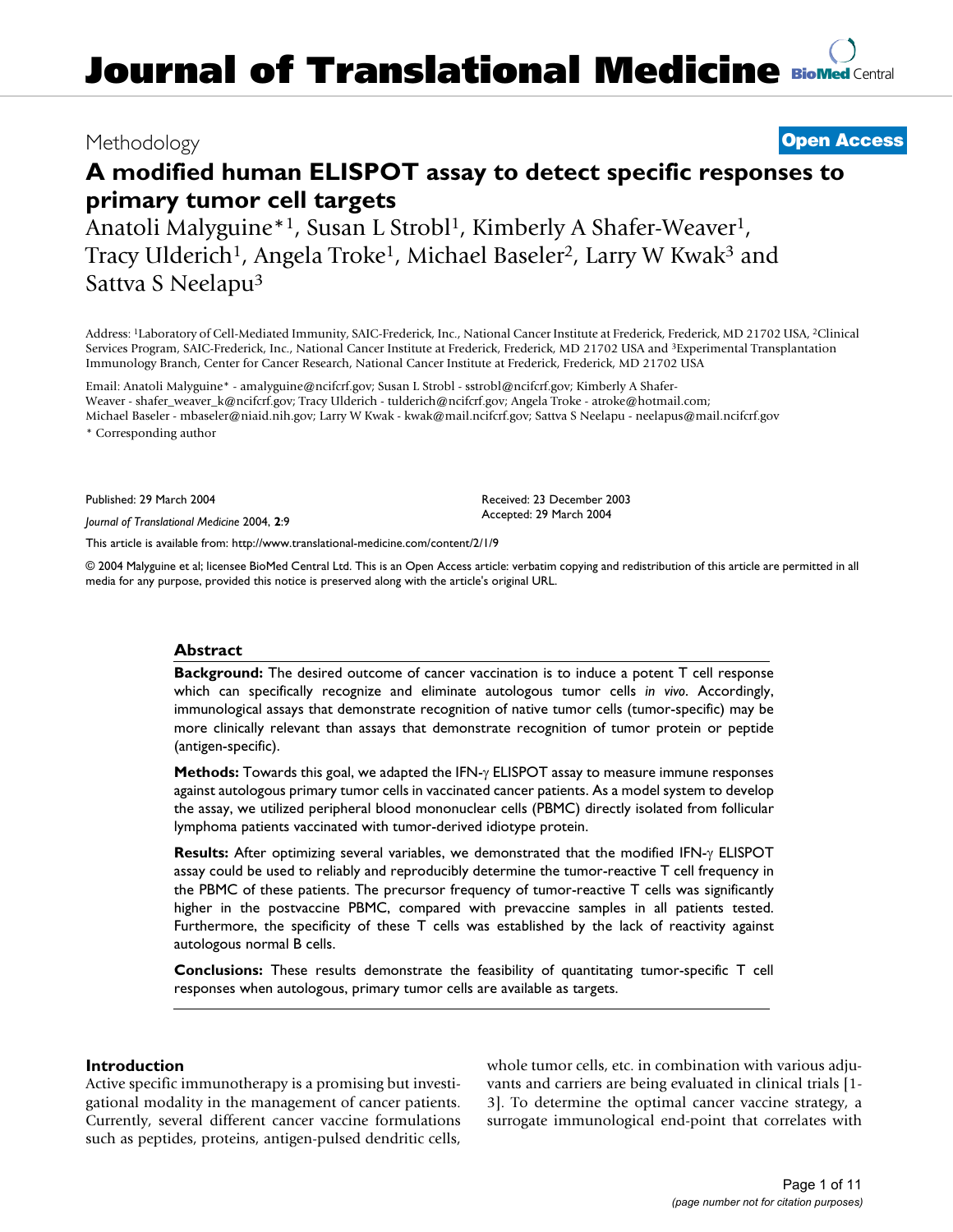# **Journal of Translational Medicine [BioMed](http://www.biomedcentral.com/) Central**

## **A modified human ELISPOT assay to detect specific responses to primary tumor cell targets**

Anatoli Malyguine\*<sup>1</sup>, Susan L Strobl<sup>1</sup>, Kimberly A Shafer-Weaver<sup>1</sup>, Tracy Ulderich<sup>1</sup>, Angela Troke<sup>1</sup>, Michael Baseler<sup>2</sup>, Larry W Kwak<sup>3</sup> and Sattva S Neelapu3

Address: 1Laboratory of Cell-Mediated Immunity, SAIC-Frederick, Inc., National Cancer Institute at Frederick, Frederick, MD 21702 USA, 2Clinical Services Program, SAIC-Frederick, Inc., National Cancer Institute at Frederick, Frederick, MD 21702 USA and 3Experimental Transplantation Immunology Branch, Center for Cancer Research, National Cancer Institute at Frederick, Frederick, MD 21702 USA

Email: Anatoli Malyguine\* - amalyguine@ncifcrf.gov; Susan L Strobl - sstrobl@ncifcrf.gov; Kimberly A Shafer-Weaver - shafer\_weaver\_k@ncifcrf.gov; Tracy Ulderich - tulderich@ncifcrf.gov; Angela Troke - atroke@hotmail.com; Michael Baseler - mbaseler@niaid.nih.gov; Larry W Kwak - kwak@mail.ncifcrf.gov; Sattva S Neelapu - neelapus@mail.ncifcrf.gov \* Corresponding author

Published: 29 March 2004

*Journal of Translational Medicine* 2004, **2**:9

[This article is available from: http://www.translational-medicine.com/content/2/1/9](http://www.translational-medicine.com/content/2/1/9)

© 2004 Malyguine et al; licensee BioMed Central Ltd. This is an Open Access article: verbatim copying and redistribution of this article are permitted in all media for any purpose, provided this notice is preserved along with the article's original URL.

Received: 23 December 2003 Accepted: 29 March 2004

#### **Abstract**

**Background:** The desired outcome of cancer vaccination is to induce a potent T cell response which can specifically recognize and eliminate autologous tumor cells *in vivo*. Accordingly, immunological assays that demonstrate recognition of native tumor cells (tumor-specific) may be more clinically relevant than assays that demonstrate recognition of tumor protein or peptide (antigen-specific).

**Methods:** Towards this goal, we adapted the IFN-γ ELISPOT assay to measure immune responses against autologous primary tumor cells in vaccinated cancer patients. As a model system to develop the assay, we utilized peripheral blood mononuclear cells (PBMC) directly isolated from follicular lymphoma patients vaccinated with tumor-derived idiotype protein.

**Results:** After optimizing several variables, we demonstrated that the modified IFN-γ ELISPOT assay could be used to reliably and reproducibly determine the tumor-reactive T cell frequency in the PBMC of these patients. The precursor frequency of tumor-reactive T cells was significantly higher in the postvaccine PBMC, compared with prevaccine samples in all patients tested. Furthermore, the specificity of these T cells was established by the lack of reactivity against autologous normal B cells.

**Conclusions:** These results demonstrate the feasibility of quantitating tumor-specific T cell responses when autologous, primary tumor cells are available as targets.

#### **Introduction**

Active specific immunotherapy is a promising but investigational modality in the management of cancer patients. Currently, several different cancer vaccine formulations such as peptides, proteins, antigen-pulsed dendritic cells, whole tumor cells, etc. in combination with various adjuvants and carriers are being evaluated in clinical trials [1- 3]. To determine the optimal cancer vaccine strategy, a surrogate immunological end-point that correlates with

### Methodology **[Open Access](http://www.biomedcentral.com/info/about/charter/)**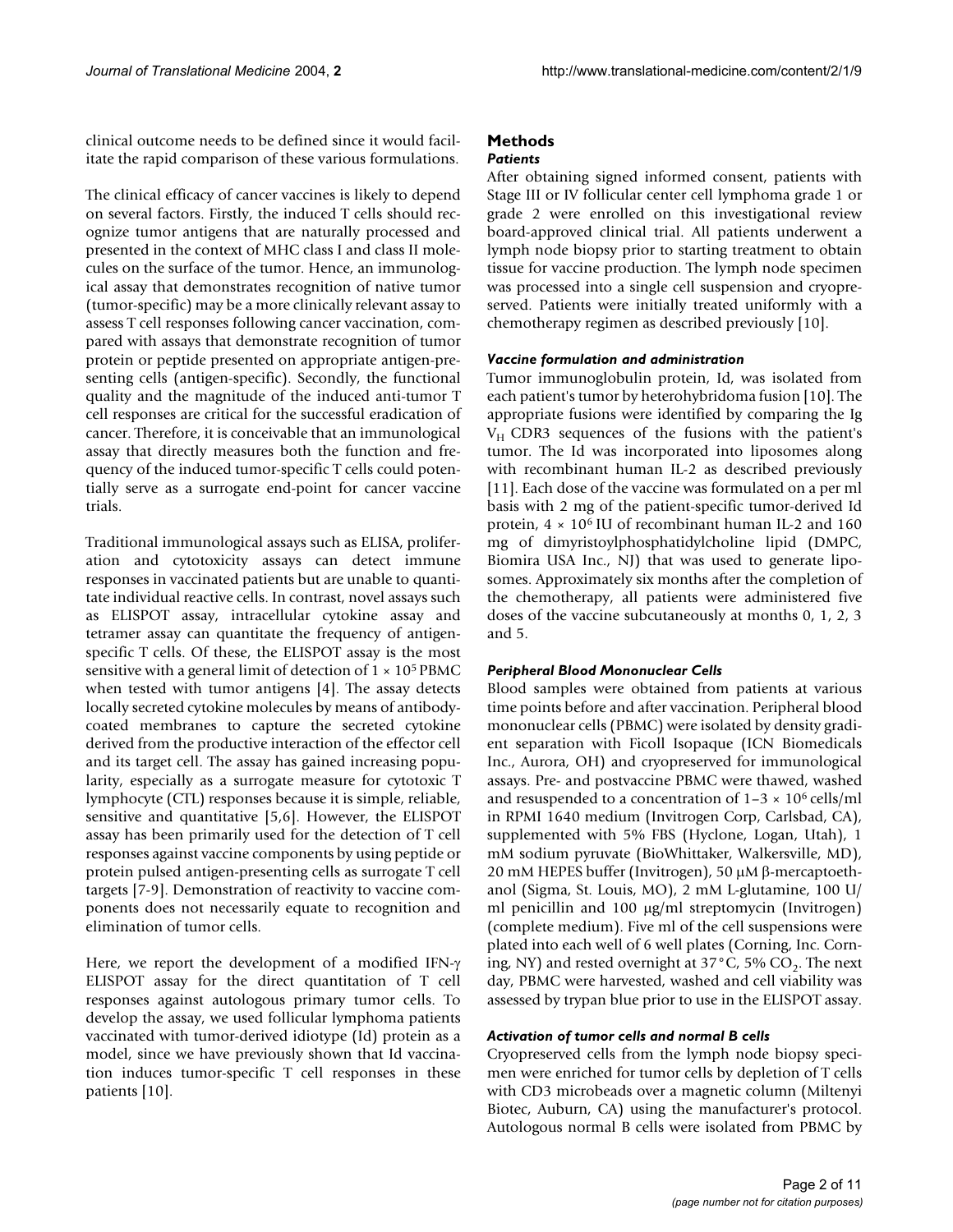clinical outcome needs to be defined since it would facilitate the rapid comparison of these various formulations.

The clinical efficacy of cancer vaccines is likely to depend on several factors. Firstly, the induced T cells should recognize tumor antigens that are naturally processed and presented in the context of MHC class I and class II molecules on the surface of the tumor. Hence, an immunological assay that demonstrates recognition of native tumor (tumor-specific) may be a more clinically relevant assay to assess T cell responses following cancer vaccination, compared with assays that demonstrate recognition of tumor protein or peptide presented on appropriate antigen-presenting cells (antigen-specific). Secondly, the functional quality and the magnitude of the induced anti-tumor T cell responses are critical for the successful eradication of cancer. Therefore, it is conceivable that an immunological assay that directly measures both the function and frequency of the induced tumor-specific T cells could potentially serve as a surrogate end-point for cancer vaccine trials.

Traditional immunological assays such as ELISA, proliferation and cytotoxicity assays can detect immune responses in vaccinated patients but are unable to quantitate individual reactive cells. In contrast, novel assays such as ELISPOT assay, intracellular cytokine assay and tetramer assay can quantitate the frequency of antigenspecific T cells. Of these, the ELISPOT assay is the most sensitive with a general limit of detection of  $1 \times 10^5$  PBMC when tested with tumor antigens [4]. The assay detects locally secreted cytokine molecules by means of antibodycoated membranes to capture the secreted cytokine derived from the productive interaction of the effector cell and its target cell. The assay has gained increasing popularity, especially as a surrogate measure for cytotoxic T lymphocyte (CTL) responses because it is simple, reliable, sensitive and quantitative [5,6]. However, the ELISPOT assay has been primarily used for the detection of T cell responses against vaccine components by using peptide or protein pulsed antigen-presenting cells as surrogate T cell targets [7-9]. Demonstration of reactivity to vaccine components does not necessarily equate to recognition and elimination of tumor cells.

Here, we report the development of a modified IFN-γ ELISPOT assay for the direct quantitation of T cell responses against autologous primary tumor cells. To develop the assay, we used follicular lymphoma patients vaccinated with tumor-derived idiotype (Id) protein as a model, since we have previously shown that Id vaccination induces tumor-specific T cell responses in these patients [10].

#### **Methods**

#### *Patients*

After obtaining signed informed consent, patients with Stage III or IV follicular center cell lymphoma grade 1 or grade 2 were enrolled on this investigational review board-approved clinical trial. All patients underwent a lymph node biopsy prior to starting treatment to obtain tissue for vaccine production. The lymph node specimen was processed into a single cell suspension and cryopreserved. Patients were initially treated uniformly with a chemotherapy regimen as described previously [10].

#### *Vaccine formulation and administration*

Tumor immunoglobulin protein, Id, was isolated from each patient's tumor by heterohybridoma fusion [10]. The appropriate fusions were identified by comparing the Ig  $V_H$  CDR3 sequences of the fusions with the patient's tumor. The Id was incorporated into liposomes along with recombinant human IL-2 as described previously [11]. Each dose of the vaccine was formulated on a per ml basis with 2 mg of the patient-specific tumor-derived Id protein,  $4 \times 10^6$  IU of recombinant human IL-2 and 160 mg of dimyristoylphosphatidylcholine lipid (DMPC, Biomira USA Inc., NJ) that was used to generate liposomes. Approximately six months after the completion of the chemotherapy, all patients were administered five doses of the vaccine subcutaneously at months 0, 1, 2, 3 and 5.

#### *Peripheral Blood Mononuclear Cells*

Blood samples were obtained from patients at various time points before and after vaccination. Peripheral blood mononuclear cells (PBMC) were isolated by density gradient separation with Ficoll Isopaque (ICN Biomedicals Inc., Aurora, OH) and cryopreserved for immunological assays. Pre- and postvaccine PBMC were thawed, washed and resuspended to a concentration of  $1-3 \times 10^6$  cells/ml in RPMI 1640 medium (Invitrogen Corp, Carlsbad, CA), supplemented with 5% FBS (Hyclone, Logan, Utah), 1 mM sodium pyruvate (BioWhittaker, Walkersville, MD), 20 mM HEPES buffer (Invitrogen), 50 µM β-mercaptoethanol (Sigma, St. Louis, MO), 2 mM L-glutamine, 100 U/ ml penicillin and 100 μg/ml streptomycin (Invitrogen) (complete medium). Five ml of the cell suspensions were plated into each well of 6 well plates (Corning, Inc. Corning, NY) and rested overnight at  $37^{\circ}$ C, 5% CO<sub>2</sub>. The next day, PBMC were harvested, washed and cell viability was assessed by trypan blue prior to use in the ELISPOT assay.

#### *Activation of tumor cells and normal B cells*

Cryopreserved cells from the lymph node biopsy specimen were enriched for tumor cells by depletion of T cells with CD3 microbeads over a magnetic column (Miltenyi Biotec, Auburn, CA) using the manufacturer's protocol. Autologous normal B cells were isolated from PBMC by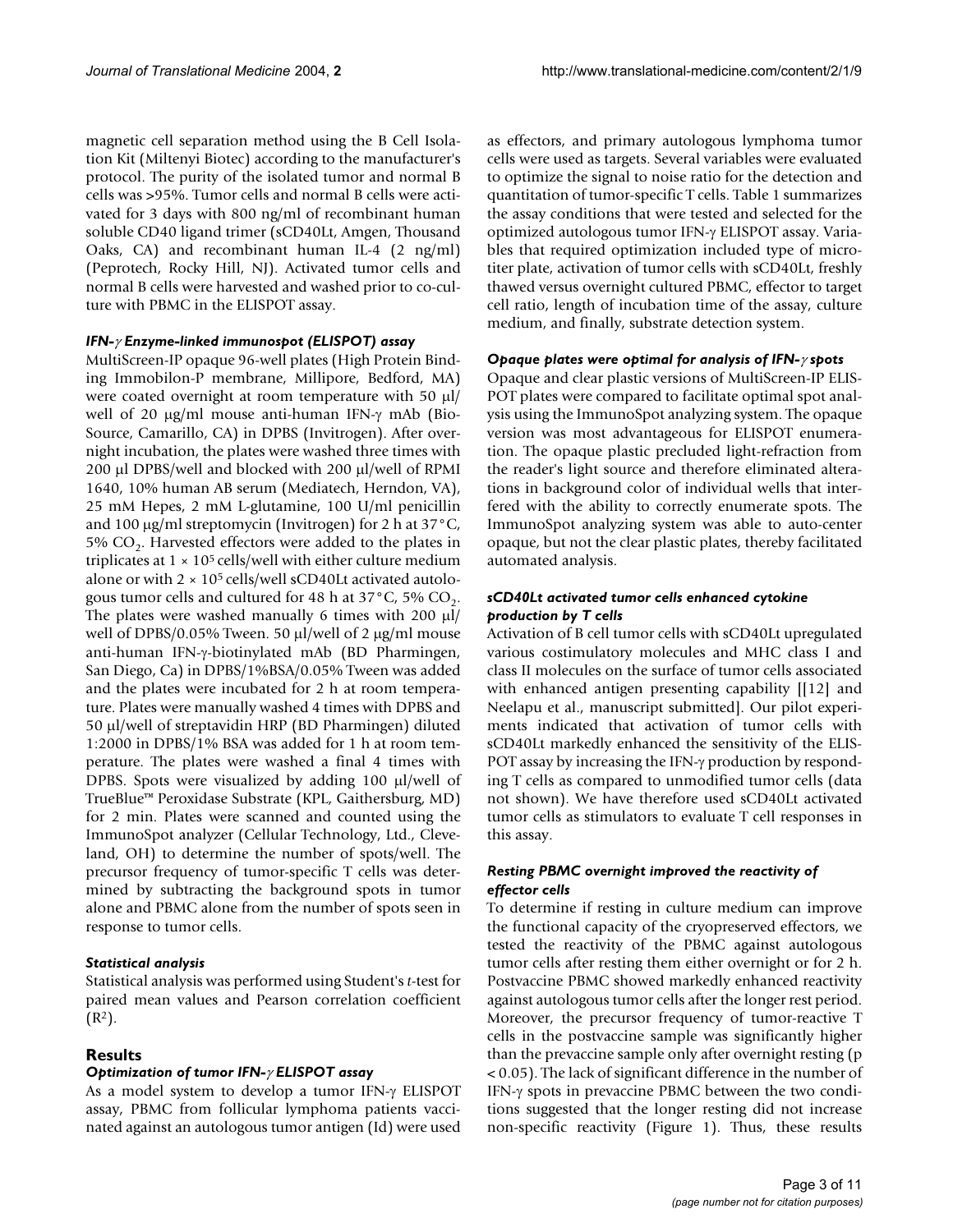magnetic cell separation method using the B Cell Isolation Kit (Miltenyi Biotec) according to the manufacturer's protocol. The purity of the isolated tumor and normal B cells was >95%. Tumor cells and normal B cells were activated for 3 days with 800 ng/ml of recombinant human soluble CD40 ligand trimer (sCD40Lt, Amgen, Thousand Oaks, CA) and recombinant human IL-4 (2 ng/ml) (Peprotech, Rocky Hill, NJ). Activated tumor cells and normal B cells were harvested and washed prior to co-culture with PBMC in the ELISPOT assay.

#### *IFN-*γ *Enzyme-linked immunospot (ELISPOT) assay*

MultiScreen-IP opaque 96-well plates (High Protein Binding Immobilon-P membrane, Millipore, Bedford, MA) were coated overnight at room temperature with 50 µl/ well of 20 µg/ml mouse anti-human IFN-γ mAb (Bio-Source, Camarillo, CA) in DPBS (Invitrogen). After overnight incubation, the plates were washed three times with 200 µl DPBS/well and blocked with 200 µl/well of RPMI 1640, 10% human AB serum (Mediatech, Herndon, VA), 25 mM Hepes, 2 mM L-glutamine, 100 U/ml penicillin and 100  $\mu$ g/ml streptomycin (Invitrogen) for 2 h at 37 $\degree$ C, 5%  $CO<sub>2</sub>$ . Harvested effectors were added to the plates in triplicates at  $1 \times 10^5$  cells/well with either culture medium alone or with  $2 \times 10^5$  cells/well sCD40Lt activated autologous tumor cells and cultured for 48 h at  $37^{\circ}$ C, 5% CO<sub>2</sub>. The plates were washed manually 6 times with 200  $\mu$ l/ well of DPBS/0.05% Tween. 50 µl/well of 2 µg/ml mouse anti-human IFN-γ-biotinylated mAb (BD Pharmingen, San Diego, Ca) in DPBS/1%BSA/0.05% Tween was added and the plates were incubated for 2 h at room temperature. Plates were manually washed 4 times with DPBS and 50 µl/well of streptavidin HRP (BD Pharmingen) diluted 1:2000 in DPBS/1% BSA was added for 1 h at room temperature. The plates were washed a final 4 times with DPBS. Spots were visualized by adding 100 µl/well of TrueBlue™ Peroxidase Substrate (KPL, Gaithersburg, MD) for 2 min. Plates were scanned and counted using the ImmunoSpot analyzer (Cellular Technology, Ltd., Cleveland, OH) to determine the number of spots/well. The precursor frequency of tumor-specific T cells was determined by subtracting the background spots in tumor alone and PBMC alone from the number of spots seen in response to tumor cells.

#### *Statistical analysis*

Statistical analysis was performed using Student's *t*-test for paired mean values and Pearson correlation coefficient  $(R^2)$ .

#### **Results**

#### *Optimization of tumor IFN-*γ *ELISPOT assay*

As a model system to develop a tumor IFN-γ ELISPOT assay, PBMC from follicular lymphoma patients vaccinated against an autologous tumor antigen (Id) were used

as effectors, and primary autologous lymphoma tumor cells were used as targets. Several variables were evaluated to optimize the signal to noise ratio for the detection and quantitation of tumor-specific T cells. Table [1](#page-3-0) summarizes the assay conditions that were tested and selected for the optimized autologous tumor IFN-γ ELISPOT assay. Variables that required optimization included type of microtiter plate, activation of tumor cells with sCD40Lt, freshly thawed versus overnight cultured PBMC, effector to target cell ratio, length of incubation time of the assay, culture medium, and finally, substrate detection system.

#### *Opaque plates were optimal for analysis of IFN-*γ *spots*

Opaque and clear plastic versions of MultiScreen-IP ELIS-POT plates were compared to facilitate optimal spot analysis using the ImmunoSpot analyzing system. The opaque version was most advantageous for ELISPOT enumeration. The opaque plastic precluded light-refraction from the reader's light source and therefore eliminated alterations in background color of individual wells that interfered with the ability to correctly enumerate spots. The ImmunoSpot analyzing system was able to auto-center opaque, but not the clear plastic plates, thereby facilitated automated analysis.

#### *sCD40Lt activated tumor cells enhanced cytokine production by T cells*

Activation of B cell tumor cells with sCD40Lt upregulated various costimulatory molecules and MHC class I and class II molecules on the surface of tumor cells associated with enhanced antigen presenting capability [[12] and Neelapu et al., manuscript submitted]. Our pilot experiments indicated that activation of tumor cells with sCD40Lt markedly enhanced the sensitivity of the ELIS-POT assay by increasing the IFN-γ production by responding T cells as compared to unmodified tumor cells (data not shown). We have therefore used sCD40Lt activated tumor cells as stimulators to evaluate T cell responses in this assay.

#### *Resting PBMC overnight improved the reactivity of effector cells*

To determine if resting in culture medium can improve the functional capacity of the cryopreserved effectors, we tested the reactivity of the PBMC against autologous tumor cells after resting them either overnight or for 2 h. Postvaccine PBMC showed markedly enhanced reactivity against autologous tumor cells after the longer rest period. Moreover, the precursor frequency of tumor-reactive T cells in the postvaccine sample was significantly higher than the prevaccine sample only after overnight resting (p < 0.05). The lack of significant difference in the number of IFN-γ spots in prevaccine PBMC between the two conditions suggested that the longer resting did not increase non-specific reactivity (Figure 1). Thus, these results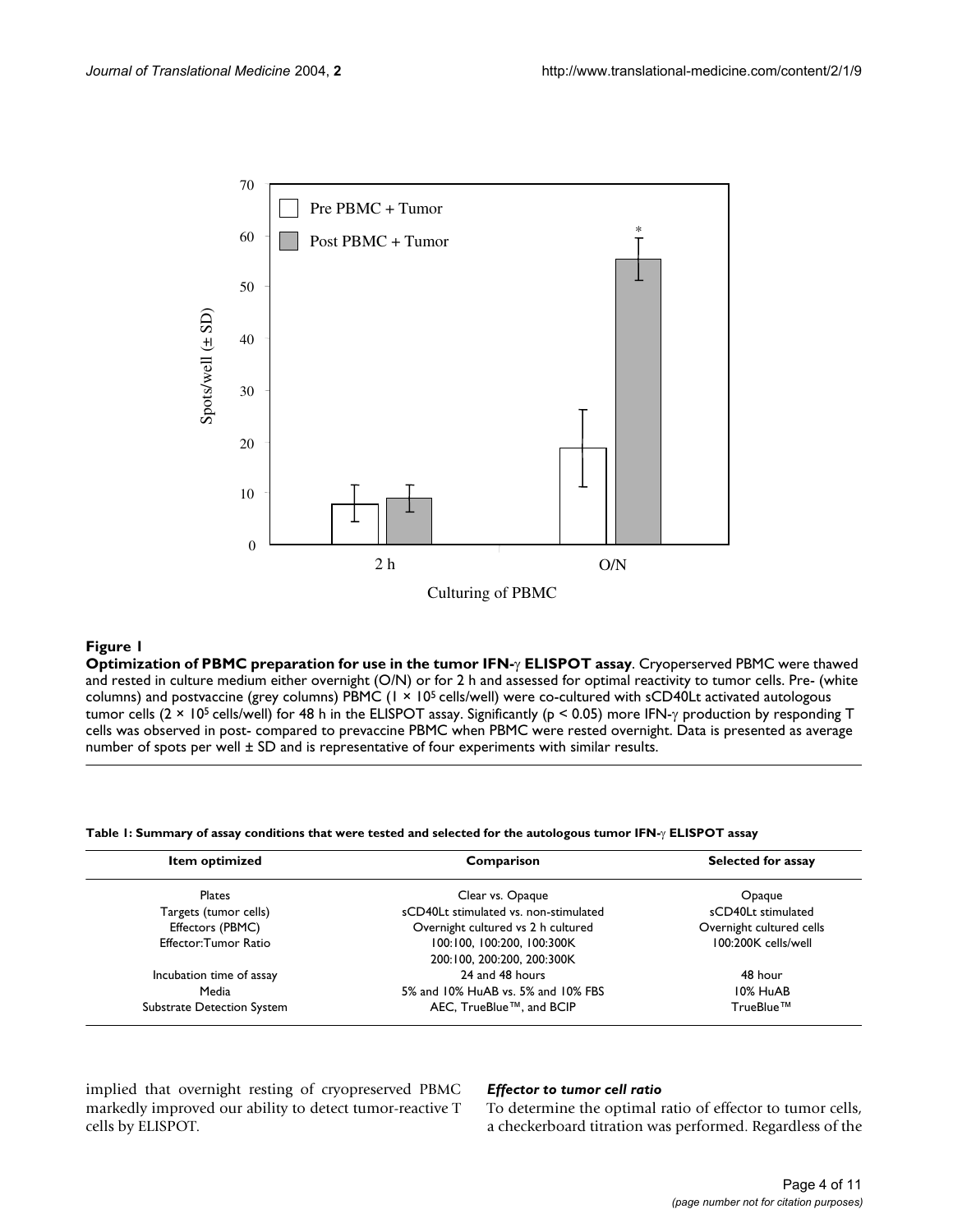

#### Optimization of PBMC preparation for use in the tumor IFN- **Figure 1** γ ELISPOT assay

**Optimization of PBMC preparation for use in the tumor IFN-**γ **ELISPOT assay**. Cryoperserved PBMC were thawed and rested in culture medium either overnight (O/N) or for 2 h and assessed for optimal reactivity to tumor cells. Pre- (white columns) and postvaccine (grey columns) PBMC ( $1 \times 10^5$  cells/well) were co-cultured with sCD40Lt activated autologous tumor cells (2 × 105 cells/well) for 48 h in the ELISPOT assay. Significantly (p < 0.05) more IFN-γ production by responding T cells was observed in post- compared to prevaccine PBMC when PBMC were rested overnight. Data is presented as average number of spots per well ± SD and is representative of four experiments with similar results.

<span id="page-3-0"></span>**Table 1: Summary of assay conditions that were tested and selected for the autologous tumor IFN-**γ **ELISPOT assay**

| Item optimized             | Comparison                            | <b>Selected for assay</b> |
|----------------------------|---------------------------------------|---------------------------|
| Plates                     | Clear vs. Opaque                      | Opaque                    |
| Targets (tumor cells)      | sCD40Lt stimulated vs. non-stimulated | sCD40Lt stimulated        |
| Effectors (PBMC)           | Overnight cultured vs 2 h cultured    | Overnight cultured cells  |
| Effector:Tumor Ratio       | 100:100, 100:200, 100:300K            | 100:200K cells/well       |
|                            | 200:100, 200:200, 200:300K            |                           |
| Incubation time of assay   | 24 and 48 hours                       | 48 hour                   |
| Media                      | 5% and 10% HuAB vs. 5% and 10% FBS    | 10% HuAB                  |
| Substrate Detection System | AEC, TrueBlue™, and BCIP              | TrueBlue <sup>™</sup>     |

implied that overnight resting of cryopreserved PBMC markedly improved our ability to detect tumor-reactive T cells by ELISPOT.

#### *Effector to tumor cell ratio*

To determine the optimal ratio of effector to tumor cells, a checkerboard titration was performed. Regardless of the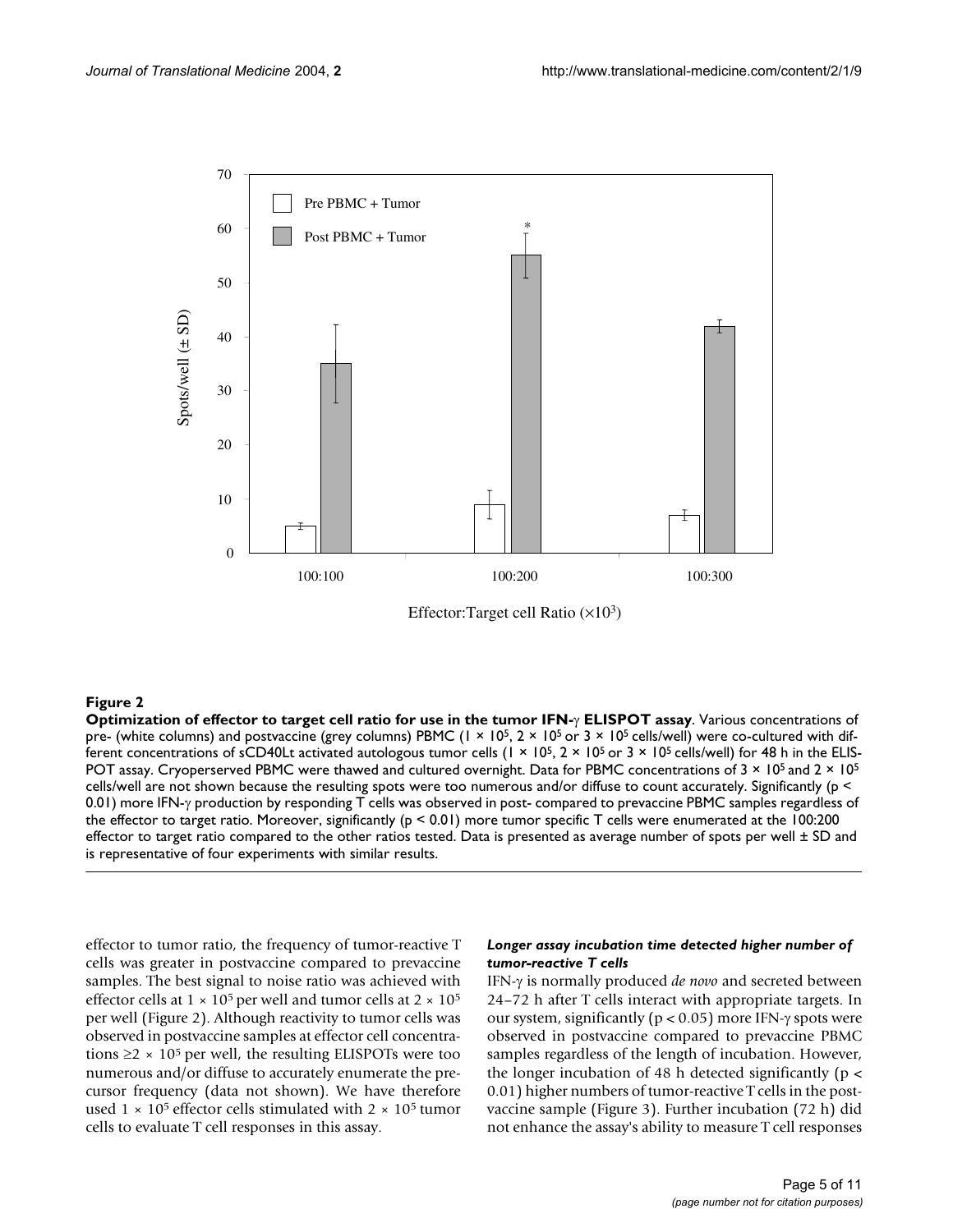

Effector:Target cell Ratio  $(\times 10^3)$ 

#### **Optimization of effects in the tumor IFN-γ ELISPOT assays in the tumor IFN-γ ELISPOT assays in the tumor IFN-γ**

**Optimization of effector to target cell ratio for use in the tumor IFN-**γ **ELISPOT assay**. Various concentrations of pre- (white columns) and postvaccine (grey columns) PBMC ( $1 \times 10^5$ ,  $2 \times 10^5$  or  $3 \times 10^5$  cells/well) were co-cultured with different concentrations of sCD40Lt activated autologous tumor cells ( $1 \times 10^5$ ,  $2 \times 10^5$  or  $3 \times 10^5$  cells/well) for 48 h in the ELIS-POT assay. Cryoperserved PBMC were thawed and cultured overnight. Data for PBMC concentrations of  $3 \times 10^5$  and  $2 \times 10^5$ cells/well are not shown because the resulting spots were too numerous and/or diffuse to count accurately. Significantly (p < 0.01) more IFN-γ production by responding T cells was observed in post- compared to prevaccine PBMC samples regardless of the effector to target ratio. Moreover, significantly ( $p < 0.01$ ) more tumor specific T cells were enumerated at the 100:200 effector to target ratio compared to the other ratios tested. Data is presented as average number of spots per well  $\pm$  SD and is representative of four experiments with similar results.

effector to tumor ratio, the frequency of tumor-reactive T cells was greater in postvaccine compared to prevaccine samples. The best signal to noise ratio was achieved with effector cells at 1  $\times$  10<sup>5</sup> per well and tumor cells at 2  $\times$  10<sup>5</sup> per well (Figure 2). Although reactivity to tumor cells was observed in postvaccine samples at effector cell concentrations  $\geq 2 \times 10^5$  per well, the resulting ELISPOTs were too numerous and/or diffuse to accurately enumerate the precursor frequency (data not shown). We have therefore used  $1 \times 10^5$  effector cells stimulated with  $2 \times 10^5$  tumor cells to evaluate T cell responses in this assay.

#### *Longer assay incubation time detected higher number of tumor-reactive T cells*

IFN-γ is normally produced *de novo* and secreted between 24–72 h after T cells interact with appropriate targets. In our system, significantly (p < 0.05) more IFN-γ spots were observed in postvaccine compared to prevaccine PBMC samples regardless of the length of incubation. However, the longer incubation of 48 h detected significantly ( $p <$ 0.01) higher numbers of tumor-reactive T cells in the postvaccine sample (Figure 3). Further incubation (72 h) did not enhance the assay's ability to measure T cell responses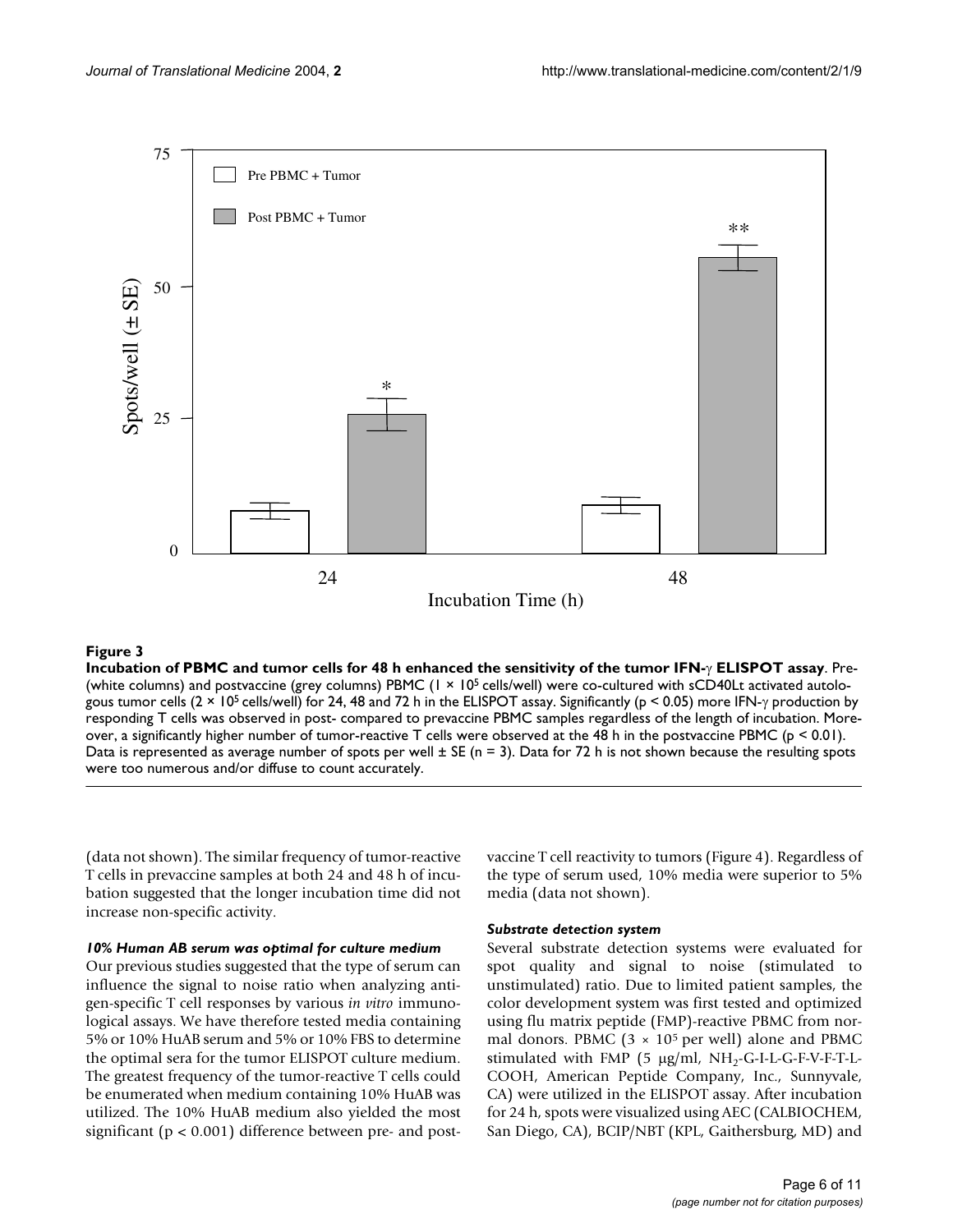

#### **Figure 3** Incubation of PBMC and tumor cells for 48 h enhanced the sensitivity of the sensitivity of the tumor IFN-γ ELISPOT assays assays assays assays assays assays assays assays assays assays assays assays assays assay

**Incubation of PBMC and tumor cells for 48 h enhanced the sensitivity of the tumor IFN-**γ **ELISPOT assay**. Pre- (white columns) and postvaccine (grey columns) PBMC  $(1 \times 10^5 \text{ cells/well})$  were co-cultured with sCD40Lt activated autologous tumor cells (2 × 105 cells/well) for 24, 48 and 72 h in the ELISPOT assay. Significantly (p < 0.05) more IFN-γ production by responding T cells was observed in post- compared to prevaccine PBMC samples regardless of the length of incubation. Moreover, a significantly higher number of tumor-reactive T cells were observed at the 48 h in the postvaccine PBMC ( $p < 0.01$ ). Data is represented as average number of spots per well  $\pm$  SE (n = 3). Data for 72 h is not shown because the resulting spots were too numerous and/or diffuse to count accurately.

(data not shown). The similar frequency of tumor-reactive T cells in prevaccine samples at both 24 and 48 h of incubation suggested that the longer incubation time did not increase non-specific activity.

#### *10% Human AB serum was optimal for culture medium*

Our previous studies suggested that the type of serum can influence the signal to noise ratio when analyzing antigen-specific T cell responses by various *in vitro* immunological assays. We have therefore tested media containing 5% or 10% HuAB serum and 5% or 10% FBS to determine the optimal sera for the tumor ELISPOT culture medium. The greatest frequency of the tumor-reactive T cells could be enumerated when medium containing 10% HuAB was utilized. The 10% HuAB medium also yielded the most significant ( $p < 0.001$ ) difference between pre- and postvaccine T cell reactivity to tumors (Figure [4\)](#page-6-0). Regardless of the type of serum used, 10% media were superior to 5% media (data not shown).

#### *Substrate detection system*

Several substrate detection systems were evaluated for spot quality and signal to noise (stimulated to unstimulated) ratio. Due to limited patient samples, the color development system was first tested and optimized using flu matrix peptide (FMP)-reactive PBMC from normal donors. PBMC  $(3 \times 10^5$  per well) alone and PBMC stimulated with FMP  $(5 \mu g/ml, NH_{2}-G-I-L-G-F-V-F-T-L-$ COOH, American Peptide Company, Inc., Sunnyvale, CA) were utilized in the ELISPOT assay. After incubation for 24 h, spots were visualized using AEC (CALBIOCHEM, San Diego, CA), BCIP/NBT (KPL, Gaithersburg, MD) and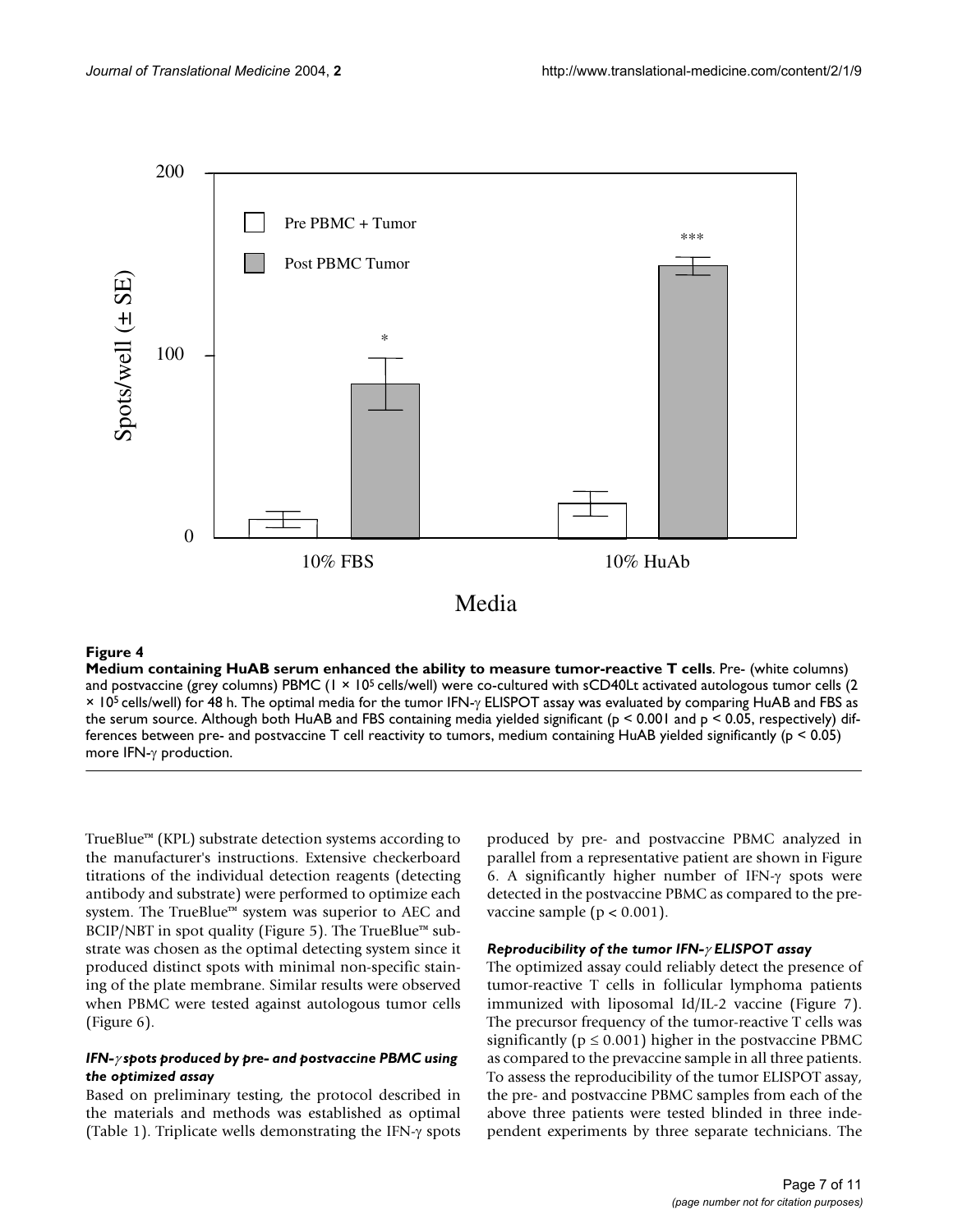<span id="page-6-0"></span>

#### Medium containing HuAB serum enhanced the **Figure 4** ability to measure tumor-reactive T cells

**Medium containing HuAB serum enhanced the ability to measure tumor-reactive T cells**. Pre- (white columns) and postvaccine (grey columns) PBMC (1  $\times$  10<sup>5</sup> cells/well) were co-cultured with sCD40Lt activated autologous tumor cells (2 × 105 cells/well) for 48 h. The optimal media for the tumor IFN-γ ELISPOT assay was evaluated by comparing HuAB and FBS as the serum source. Although both HuAB and FBS containing media yielded significant ( $p < 0.001$  and  $p < 0.05$ , respectively) differences between pre- and postvaccine T cell reactivity to tumors, medium containing HuAB yielded significantly (p < 0.05) more IFN-γ production.

TrueBlue™ (KPL) substrate detection systems according to the manufacturer's instructions. Extensive checkerboard titrations of the individual detection reagents (detecting antibody and substrate) were performed to optimize each system. The TrueBlue™ system was superior to AEC and BCIP/NBT in spot quality (Figure [5](#page-7-0)). The TrueBlue™ substrate was chosen as the optimal detecting system since it produced distinct spots with minimal non-specific staining of the plate membrane. Similar results were observed when PBMC were tested against autologous tumor cells (Figure [6](#page-7-1)).

#### *IFN-*γ *spots produced by pre- and postvaccine PBMC using the optimized assay*

Based on preliminary testing, the protocol described in the materials and methods was established as optimal (Table [1\)](#page-3-0). Triplicate wells demonstrating the IFN-γ spots produced by pre- and postvaccine PBMC analyzed in parallel from a representative patient are shown in Figure [6](#page-7-1). A significantly higher number of IFN-γ spots were detected in the postvaccine PBMC as compared to the prevaccine sample  $(p < 0.001)$ .

#### *Reproducibility of the tumor IFN-*γ *ELISPOT assay*

The optimized assay could reliably detect the presence of tumor-reactive T cells in follicular lymphoma patients immunized with liposomal Id/IL-2 vaccine (Figure [7\)](#page-8-0). The precursor frequency of the tumor-reactive T cells was significantly ( $p \le 0.001$ ) higher in the postvaccine PBMC as compared to the prevaccine sample in all three patients. To assess the reproducibility of the tumor ELISPOT assay, the pre- and postvaccine PBMC samples from each of the above three patients were tested blinded in three independent experiments by three separate technicians. The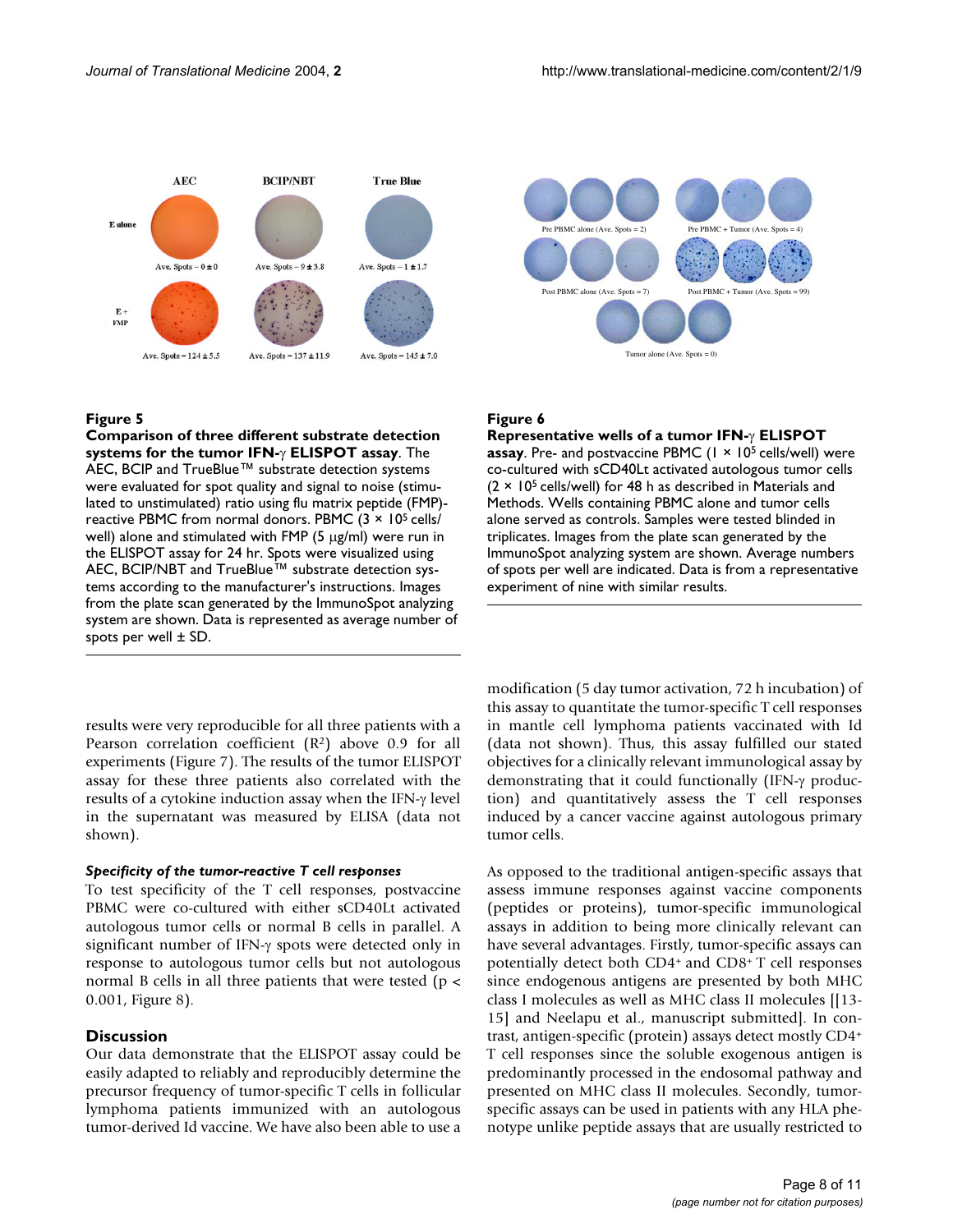<span id="page-7-0"></span>

#### Figure 5

**Comparison of three different substrate detection systems for the tumor IFN-**γ **ELISPOT assay**. The AEC, BCIP and TrueBlue™ substrate detection systems were evaluated for spot quality and signal to noise (stimulated to unstimulated) ratio using flu matrix peptide (FMP) reactive PBMC from normal donors. PBMC (3 × 105 cells/ well) alone and stimulated with FMP (5 μg/ml) were run in the ELISPOT assay for 24 hr. Spots were visualized using AEC, BCIP/NBT and TrueBlue™ substrate detection systems according to the manufacturer's instructions. Images from the plate scan generated by the ImmunoSpot analyzing system are shown. Data is represented as average number of spots per well ± SD.

results were very reproducible for all three patients with a Pearson correlation coefficient (R2) above 0.9 for all experiments (Figure [7\)](#page-8-0). The results of the tumor ELISPOT assay for these three patients also correlated with the results of a cytokine induction assay when the IFN-γ level in the supernatant was measured by ELISA (data not shown).

#### *Specificity of the tumor-reactive T cell responses*

To test specificity of the T cell responses, postvaccine PBMC were co-cultured with either sCD40Lt activated autologous tumor cells or normal B cells in parallel. A significant number of IFN-γ spots were detected only in response to autologous tumor cells but not autologous normal B cells in all three patients that were tested ( $p <$ 0.001, Figure 8).

#### **Discussion**

Our data demonstrate that the ELISPOT assay could be easily adapted to reliably and reproducibly determine the precursor frequency of tumor-specific T cells in follicular lymphoma patients immunized with an autologous tumor-derived Id vaccine. We have also been able to use a

<span id="page-7-1"></span>

#### **Figure 6**

**Representative wells of a tumor IFN-**γ **ELISPOT assay**. Pre- and postvaccine PBMC (1 × 105 cells/well) were co-cultured with sCD40Lt activated autologous tumor cells  $(2 \times 10^5 \text{ cells/well})$  for 48 h as described in Materials and Methods. Wells containing PBMC alone and tumor cells alone served as controls. Samples were tested blinded in triplicates. Images from the plate scan generated by the ImmunoSpot analyzing system are shown. Average numbers of spots per well are indicated. Data is from a representative experiment of nine with similar results.

modification (5 day tumor activation, 72 h incubation) of this assay to quantitate the tumor-specific T cell responses in mantle cell lymphoma patients vaccinated with Id (data not shown). Thus, this assay fulfilled our stated objectives for a clinically relevant immunological assay by demonstrating that it could functionally (IFN-γ production) and quantitatively assess the T cell responses induced by a cancer vaccine against autologous primary tumor cells.

As opposed to the traditional antigen-specific assays that assess immune responses against vaccine components (peptides or proteins), tumor-specific immunological assays in addition to being more clinically relevant can have several advantages. Firstly, tumor-specific assays can potentially detect both CD4+ and CD8+ T cell responses since endogenous antigens are presented by both MHC class I molecules as well as MHC class II molecules [[13- 15] and Neelapu et al., manuscript submitted]. In contrast, antigen-specific (protein) assays detect mostly CD4+ T cell responses since the soluble exogenous antigen is predominantly processed in the endosomal pathway and presented on MHC class II molecules. Secondly, tumorspecific assays can be used in patients with any HLA phenotype unlike peptide assays that are usually restricted to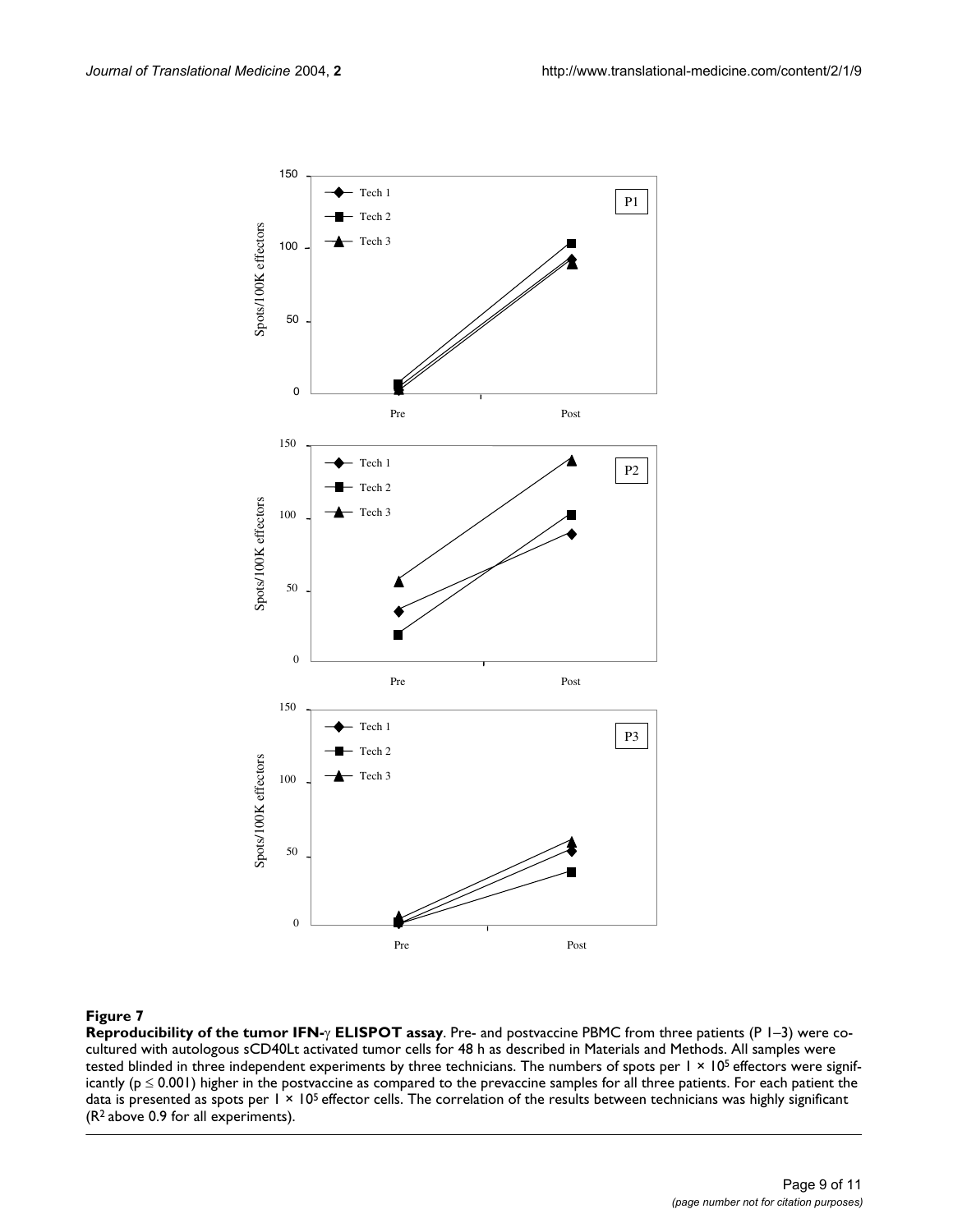<span id="page-8-0"></span>

#### **Figure 7**

**Reproducibility of the tumor IFN-**γ **ELISPOT assay**. Pre- and postvaccine PBMC from three patients (P 1–3) were cocultured with autologous sCD40Lt activated tumor cells for 48 h as described in Materials and Methods. All samples were tested blinded in three independent experiments by three technicians. The numbers of spots per 1 × 10<sup>5</sup> effectors were significantly ( $p \le 0.001$ ) higher in the postvaccine as compared to the prevaccine samples for all three patients. For each patient the data is presented as spots per  $1 \times 10^5$  effector cells. The correlation of the results between technicians was highly significant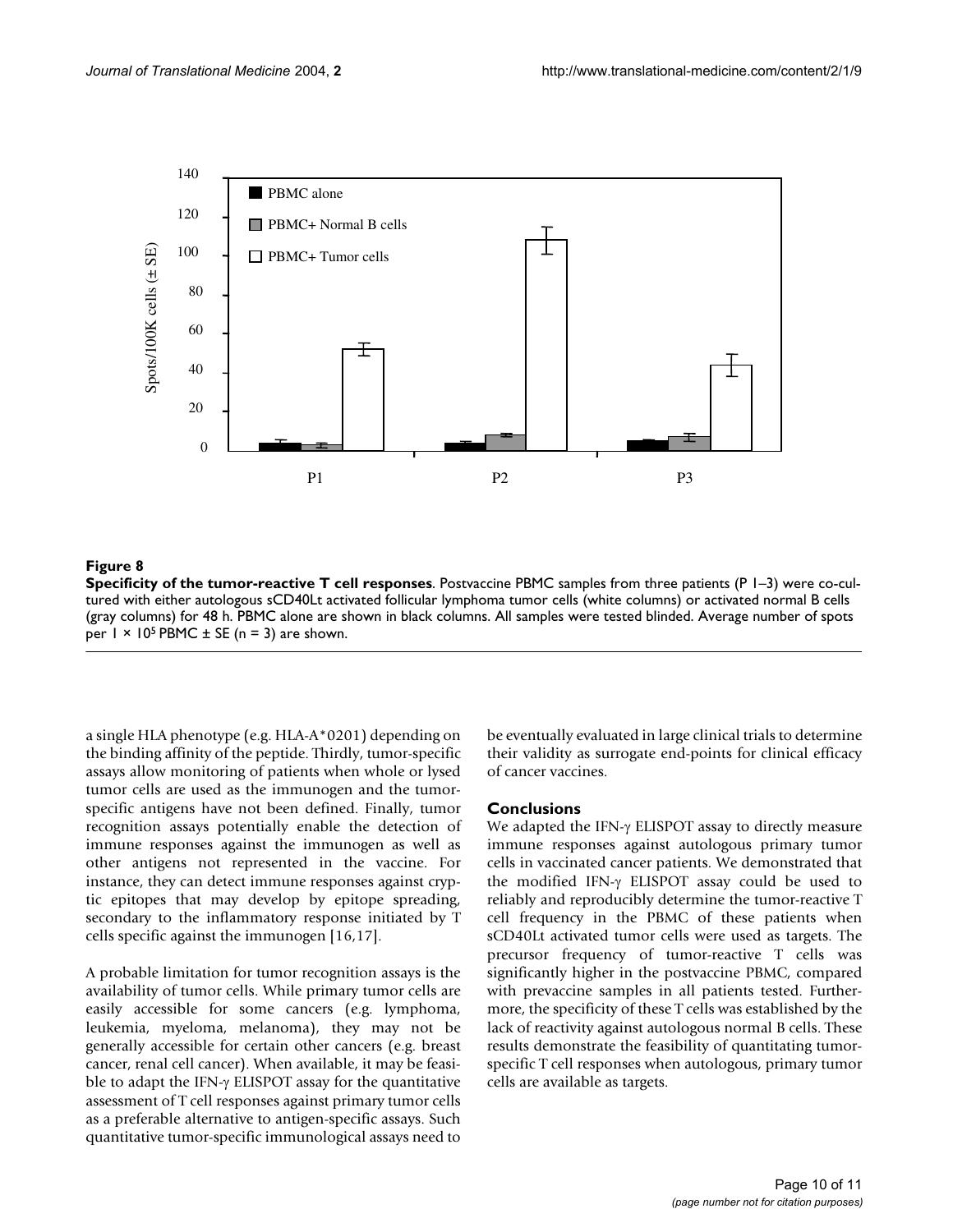

#### **Figure 8**

**Specificity of the tumor-reactive T cell responses**. Postvaccine PBMC samples from three patients (P 1–3) were co-cultured with either autologous sCD40Lt activated follicular lymphoma tumor cells (white columns) or activated normal B cells (gray columns) for 48 h. PBMC alone are shown in black columns. All samples were tested blinded. Average number of spots per  $1 \times 10^5$  PBMC  $\pm$  SE (n = 3) are shown.

a single HLA phenotype (e.g. HLA-A\*0201) depending on the binding affinity of the peptide. Thirdly, tumor-specific assays allow monitoring of patients when whole or lysed tumor cells are used as the immunogen and the tumorspecific antigens have not been defined. Finally, tumor recognition assays potentially enable the detection of immune responses against the immunogen as well as other antigens not represented in the vaccine. For instance, they can detect immune responses against cryptic epitopes that may develop by epitope spreading, secondary to the inflammatory response initiated by T cells specific against the immunogen [16,17].

A probable limitation for tumor recognition assays is the availability of tumor cells. While primary tumor cells are easily accessible for some cancers (e.g. lymphoma, leukemia, myeloma, melanoma), they may not be generally accessible for certain other cancers (e.g. breast cancer, renal cell cancer). When available, it may be feasible to adapt the IFN-γ ELISPOT assay for the quantitative assessment of T cell responses against primary tumor cells as a preferable alternative to antigen-specific assays. Such quantitative tumor-specific immunological assays need to be eventually evaluated in large clinical trials to determine their validity as surrogate end-points for clinical efficacy of cancer vaccines.

#### **Conclusions**

We adapted the IFN-γ ELISPOT assay to directly measure immune responses against autologous primary tumor cells in vaccinated cancer patients. We demonstrated that the modified IFN-γ ELISPOT assay could be used to reliably and reproducibly determine the tumor-reactive T cell frequency in the PBMC of these patients when sCD40Lt activated tumor cells were used as targets. The precursor frequency of tumor-reactive T cells was significantly higher in the postvaccine PBMC, compared with prevaccine samples in all patients tested. Furthermore, the specificity of these T cells was established by the lack of reactivity against autologous normal B cells. These results demonstrate the feasibility of quantitating tumorspecific T cell responses when autologous, primary tumor cells are available as targets.